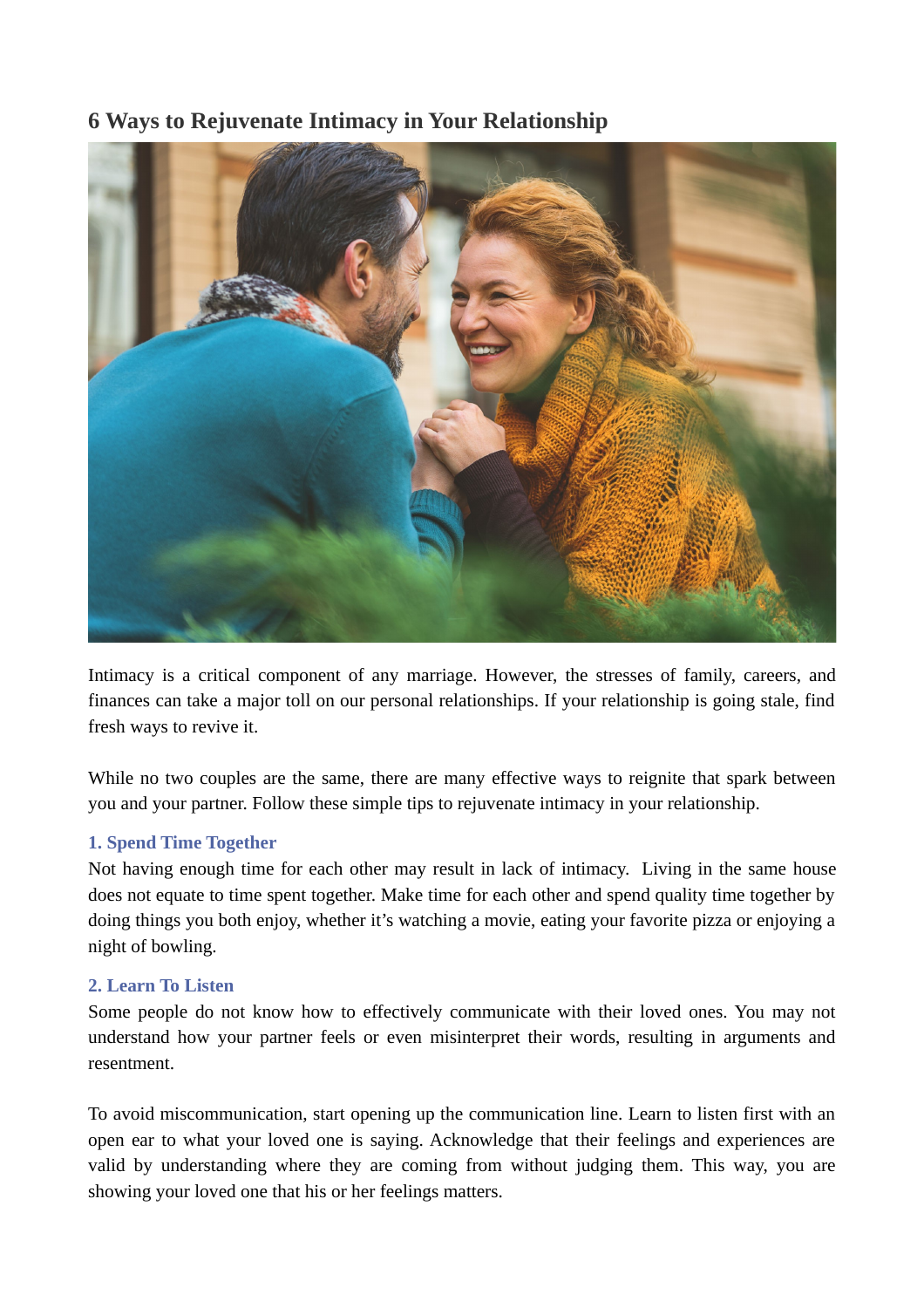# **6 Ways to Rejuvenate Intimacy in Your Relationship**



Intimacy is a critical component of any marriage. However, the stresses of family, careers, and finances can take a major toll on our personal relationships. If your relationship is going stale, find fresh ways to revive it.

While no two couples are the same, there are many effective ways to reignite that spark between you and your partner. Follow these simple tips to rejuvenate intimacy in your relationship.

## **1. Spend Time Together**

Not having enough time for each other may result in lack of intimacy. Living in the same house does not equate to time spent together. Make time for each other and spend quality time together by doing things you both enjoy, whether it's watching a movie, eating your favorite pizza or enjoying a night of bowling.

#### **2. Learn To Listen**

Some people do not know how to effectively communicate with their loved ones. You may not understand how your partner feels or even misinterpret their words, resulting in arguments and resentment.

To avoid miscommunication, start opening up the communication line. Learn to listen first with an open ear to what your loved one is saying. Acknowledge that their feelings and experiences are valid by understanding where they are coming from without judging them. This way, you are showing your loved one that his or her feelings matters.